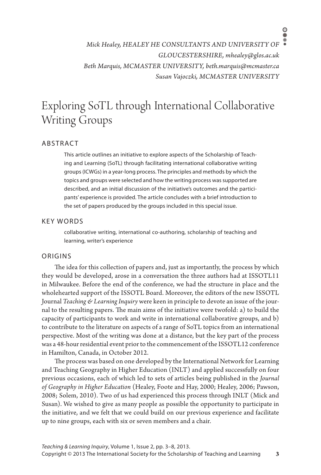*Mick Healey, HEALEY HE CONSULTANTS AND UNIVERSITY OF GLOUCESTERSHIRE, mhealey@glos.ac.uk Beth Marquis, MCMASTER UNIVERSITY, beth.marquis@mcmaster.ca Susan Vajoczki, MCMASTER UNIVERSITY*

# Exploring SoTL through International Collaborative Writing Groups

## **ABSTRACT**

This article outlines an initiative to explore aspects of the Scholarship of Teaching and Learning (SoTL) through facilitating international collaborative writing groups (ICWGs) in a year-long process. The principles and methods by which the topics and groups were selected and how the writing process was supported are described, and an initial discussion of the initiative's outcomes and the participants' experience is provided. The article concludes with a brief introduction to the set of papers produced by the groups included in this special issue.

## KEY WORDS

collaborative writing, international co-authoring, scholarship of teaching and learning, writer's experience

#### ORIGINS

The idea for this collection of papers and, just as importantly, the process by which they would be developed, arose in a conversation the three authors had at ISSOTL11 in Milwaukee. Before the end of the conference, we had the structure in place and the wholehearted support of the ISSOTL Board. Moreover, the editors of the new ISSOTL Journal *Teaching & Learning Inquiry* were keen in principle to devote an issue of the journal to the resulting papers. The main aims of the initiative were twofold: a) to build the capacity of participants to work and write in international collaborative groups, and b) to contribute to the literature on aspects of a range of SoTL topics from an international perspective. Most of the writing was done at a distance, but the key part of the process was a 48-hour residential event prior to the commencement of the ISSOTL12 conference in Hamilton, Canada, in October 2012.

The process was based on one developed by the International Network for Learning and Teaching Geography in Higher Education (INLT) and applied successfully on four previous occasions, each of which led to sets of articles being published in the *Journal of Geography in Higher Education* (Healey, Foote and Hay, 2000; Healey, 2006; Pawson, 2008; Solem, 2010). Two of us had experienced this process through INLT (Mick and Susan). We wished to give as many people as possible the opportunity to participate in the initiative, and we felt that we could build on our previous experience and facilitate up to nine groups, each with six or seven members and a chair.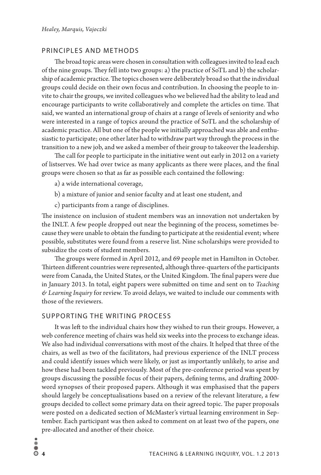# PRINCIPLES AND METHODS

The broad topic areas were chosen in consultation with colleagues invited to lead each of the nine groups. They fell into two groups: a) the practice of SoTL and b) the scholarship of academic practice. The topics chosen were deliberately broad so that the individual groups could decide on their own focus and contribution. In choosing the people to invite to chair the groups, we invited colleagues who we believed had the ability to lead and encourage participants to write collaboratively and complete the articles on time. That said, we wanted an international group of chairs at a range of levels of seniority and who were interested in a range of topics around the practice of SoTL and the scholarship of academic practice. All but one of the people we initially approached was able and enthusiastic to participate; one other later had to withdraw part way through the process in the transition to a new job, and we asked a member of their group to takeover the leadership.

The call for people to participate in the initiative went out early in 2012 on a variety of listserves. We had over twice as many applicants as there were places, and the final groups were chosen so that as far as possible each contained the following:

a) a wide international coverage,

- b) a mixture of junior and senior faculty and at least one student, and
- c) participants from a range of disciplines.

The insistence on inclusion of student members was an innovation not undertaken by the INLT. A few people dropped out near the beginning of the process, sometimes because they were unable to obtain the funding to participate at the residential event; where possible, substitutes were found from a reserve list. Nine scholarships were provided to subsidize the costs of student members.

The groups were formed in April 2012, and 69 people met in Hamilton in October. Thirteen different countries were represented, although three-quarters of the participants were from Canada, the United States, or the United Kingdom. The final papers were due in January 2013. In total, eight papers were submitted on time and sent on to *Teaching & Learning Inquiry* for review. To avoid delays, we waited to include our comments with those of the reviewers.

#### SUPPORTING THE WRITING PROCESS

It was left to the individual chairs how they wished to run their groups. However, a web conference meeting of chairs was held six weeks into the process to exchange ideas. We also had individual conversations with most of the chairs. It helped that three of the chairs, as well as two of the facilitators, had previous experience of the INLT process and could identify issues which were likely, or just as importantly unlikely, to arise and how these had been tackled previously. Most of the pre-conference period was spent by groups discussing the possible focus of their papers, defining terms, and drafting 2000 word synopses of their proposed papers. Although it was emphasised that the papers should largely be conceptualisations based on a review of the relevant literature, a few groups decided to collect some primary data on their agreed topic. The paper proposals were posted on a dedicated section of McMaster's virtual learning environment in September. Each participant was then asked to comment on at least two of the papers, one pre-allocated and another of their choice.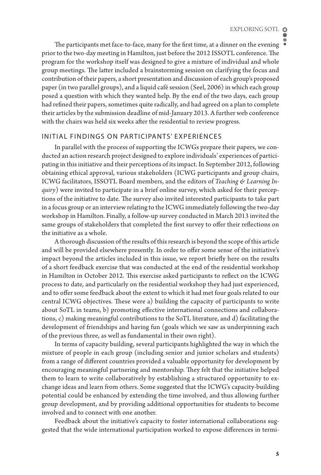The participants met face-to-face, many for the first time, at a dinner on the evening prior to the two-day meeting in Hamilton, just before the 2012 ISSOTL conference. The program for the workshop itself was designed to give a mixture of individual and whole group meetings. The latter included a brainstorming session on clarifying the focus and contribution of their papers, a short presentation and discussion of each group's proposed paper (in two parallel groups), and a liquid café session (Seel, 2006) in which each group posed a question with which they wanted help. By the end of the two days, each group had refined their papers, sometimes quite radically, and had agreed on a plan to complete their articles by the submission deadline of mid-January 2013. A further web conference with the chairs was held six weeks after the residential to review progress.

# INITIAL FINDINGS ON PARTICIPANTS' EXPERIENCES

In parallel with the process of supporting the ICWGs prepare their papers, we conducted an action research project designed to explore individuals' experiences of participating in this initiative and their perceptions of its impact. In September 2012, following obtaining ethical approval, various stakeholders (ICWG participants and group chairs, ICWG facilitators, ISSOTL Board members, and the editors of *Teaching & Learning Inquiry*) were invited to participate in a brief online survey, which asked for their perceptions of the initiative to date. The survey also invited interested participants to take part in a focus group or an interview relating to the ICWG immediately following the two-day workshop in Hamilton. Finally, a follow-up survey conducted in March 2013 invited the same groups of stakeholders that completed the first survey to offer their reflections on the initiative as a whole.

A thorough discussion of the results of this research is beyond the scope of this article and will be provided elsewhere presently. In order to offer some sense of the initiative's impact beyond the articles included in this issue, we report briefly here on the results of a short feedback exercise that was conducted at the end of the residential workshop in Hamilton in October 2012. This exercise asked participants to reflect on the ICWG process to date, and particularly on the residential workshop they had just experienced, and to offer some feedback about the extent to which it had met four goals related to our central ICWG objectives. These were a) building the capacity of participants to write about SoTL in teams, b) promoting effective international connections and collaborations, c) making meaningful contributions to the SoTL literature, and d) facilitating the development of friendships and having fun (goals which we saw as underpinning each of the previous three, as well as fundamental in their own right).

In terms of capacity building, several participants highlighted the way in which the mixture of people in each group (including senior and junior scholars and students) from a range of different countries provided a valuable opportunity for development by encouraging meaningful partnering and mentorship. They felt that the initiative helped them to learn to write collaboratively by establishing a structured opportunity to exchange ideas and learn from others. Some suggested that the ICWG's capacity-building potential could be enhanced by extending the time involved, and thus allowing further group development, and by providing additional opportunities for students to become involved and to connect with one another.

Feedback about the initiative's capacity to foster international collaborations suggested that the wide international participation worked to expose differences in termi-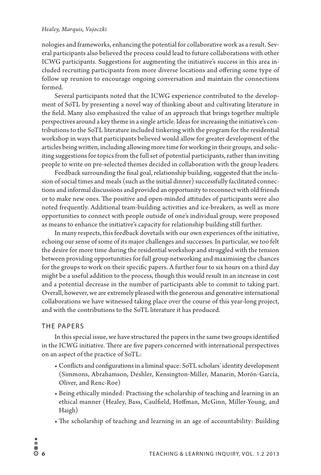### *Healey, Marquis, Vajoczki*

nologies and frameworks, enhancing the potential for collaborative work as a result. Several participants also believed the process could lead to future collaborations with other ICWG participants. Suggestions for augmenting the initiative's success in this area included recruiting participants from more diverse locations and offering some type of follow up reunion to encourage ongoing conversation and maintain the connections formed.

Several participants noted that the ICWG experience contributed to the development of SoTL by presenting a novel way of thinking about and cultivating literature in the field. Many also emphasized the value of an approach that brings together multiple perspectives around a key theme in a single article. Ideas for increasing the initiative's contributions to the SoTL literature included tinkering with the program for the residential workshop in ways that participants believed would allow for greater development of the articles being written, including allowing more time for working in their groups, and soliciting suggestions for topics from the full set of potential participants, rather than inviting people to write on pre-selected themes decided in collaboration with the group leaders.

Feedback surrounding the final goal, relationship building, suggested that the inclusion of social times and meals (such as the initial dinner) successfully facilitated connections and informal discussions and provided an opportunity to reconnect with old friends or to make new ones. The positive and open-minded attitudes of participants were also noted frequently. Additional team-building activities and ice-breakers, as well as more opportunities to connect with people outside of one's individual group, were proposed as means to enhance the initiative's capacity for relationship building still further.

In many respects, this feedback dovetails with our own experiences of the initiative, echoing our sense of some of its major challenges and successes. In particular, we too felt the desire for more time during the residential workshop and struggled with the tension between providing opportunities for full group networking and maximising the chances for the groups to work on their specific papers. A further four to six hours on a third day might be a useful addition to the process, though this would result in an increase in cost and a potential decrease in the number of participants able to commit to taking part. Overall, however, we are extremely pleased with the generous and generative international collaborations we have witnessed taking place over the course of this year-long project, and with the contributions to the SoTL literature it has produced.

# THE PAPERS

In this special issue, we have structured the papers in the same two groups identified in the ICWG initiative. There are five papers concerned with international perspectives on an aspect of the practice of SoTL:

- Conflicts and configurations in a liminal space: SoTL scholars' identity development (Simmons, Abrahamson, Deshler, Kensington-Miller, Manarin, Morón-García, Oliver, and Renc-Roe)
- Being ethically minded: Practising the scholarship of teaching and learning in an ethical manner (Healey, Bass, Caulfield, Hoffman, McGinn, Miller-Young, and Haigh)
- The scholarship of teaching and learning in an age of accountability: Building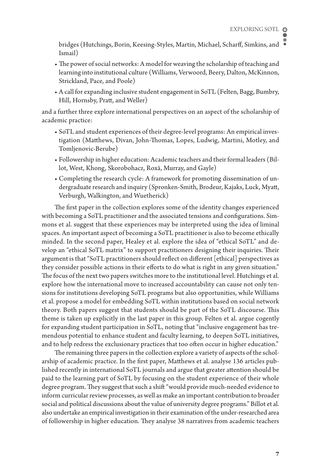bridges (Hutchings, Borin, Keesing-Styles, Martin, Michael, Scharff, Simkins, and Ismail)

- The power of social networks: A model for weaving the scholarship of teaching and learning into institutional culture (Williams, Verwoord, Beery, Dalton, McKinnon, Strickland, Pace, and Poole)
- A call for expanding inclusive student engagement in SoTL (Felten, Bagg, Bumbry, Hill, Hornsby, Pratt, and Weller)

and a further three explore international perspectives on an aspect of the scholarship of academic practice:

- SoTL and student experiences of their degree-level programs: An empirical investigation (Matthews, Divan, John-Thomas, Lopes, Ludwig, Martini, Motley, and Tomljenovic-Berube)
- Followership in higher education: Academic teachers and their formal leaders (Billot, West, Khong, Skorobohacz, Roxå, Murray, and Gayle)
- Completing the research cycle: A framework for promoting dissemination of undergraduate research and inquiry (Spronken-Smith, Brodeur, Kajaks, Luck, Myatt, Verburgh, Walkington, and Wuetherick)

The first paper in the collection explores some of the identity changes experienced with becoming a SoTL practitioner and the associated tensions and configurations. Simmons et al. suggest that these experiences may be interpreted using the idea of liminal spaces. An important aspect of becoming a SoTL practitioner is also to become ethically minded. In the second paper, Healey et al. explore the idea of "ethical SoTL" and develop an "ethical SoTL matrix" to support practitioners designing their inquiries. Their argument is that "SoTL practitioners should reflect on different [ethical] perspectives as they consider possible actions in their efforts to do what is right in any given situation." The focus of the next two papers switches more to the institutional level. Hutchings et al. explore how the international move to increased accountability can cause not only tensions for institutions developing SoTL programs but also opportunities, while Williams et al. propose a model for embedding SoTL within institutions based on social network theory. Both papers suggest that students should be part of the SoTL discourse. This theme is taken up explicitly in the last paper in this group. Felten et al. argue cogently for expanding student participation in SoTL, noting that "inclusive engagement has tremendous potential to enhance student and faculty learning, to deepen SoTL initiatives, and to help redress the exclusionary practices that too often occur in higher education."

The remaining three papers in the collection explore a variety of aspects of the scholarship of academic practice. In the first paper, Matthews et al. analyse 136 articles published recently in international SoTL journals and argue that greater attention should be paid to the learning part of SoTL by focusing on the student experience of their whole degree program. They suggest that such a shift "would provide much-needed evidence to inform curricular review processes, as well as make an important contribution to broader social and political discussions about the value of university degree programs." Billot et al. also undertake an empirical investigation in their examination of the under-researched area of followership in higher education. They analyse 38 narratives from academic teachers